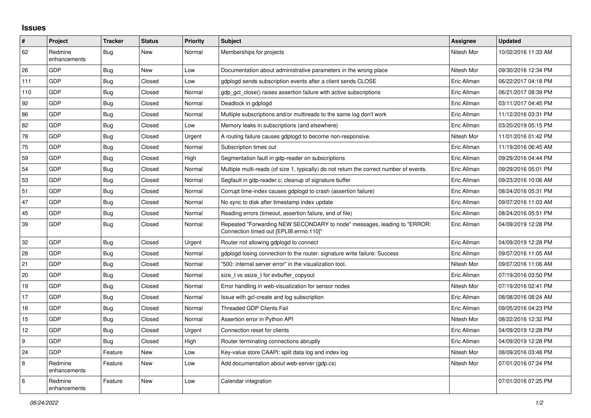## **Issues**

| $\vert$ # | Project                 | <b>Tracker</b> | <b>Status</b> | <b>Priority</b> | <b>Subject</b>                                                                                                      | <b>Assignee</b> | <b>Updated</b>      |
|-----------|-------------------------|----------------|---------------|-----------------|---------------------------------------------------------------------------------------------------------------------|-----------------|---------------------|
| 62        | Redmine<br>enhancements | Bug            | New           | Normal          | Memberships for projects                                                                                            | Nitesh Mor      | 10/02/2016 11:33 AM |
| 26        | <b>GDP</b>              | Bug            | <b>New</b>    | Low             | Documentation about administrative parameters in the wrong place                                                    | Nitesh Mor      | 09/30/2016 12:34 PM |
| 111       | GDP                     | Bug            | Closed        | Low             | gdplogd sends subscription events after a client sends CLOSE                                                        | Eric Allman     | 06/22/2017 04:18 PM |
| 110       | GDP                     | Bug            | Closed        | Normal          | gdp gcl close() raises assertion failure with active subscriptions                                                  | Eric Allman     | 06/21/2017 08:39 PM |
| 92        | <b>GDP</b>              | <b>Bug</b>     | Closed        | Normal          | Deadlock in gdplogd                                                                                                 | Eric Allman     | 03/11/2017 04:45 PM |
| 86        | GDP                     | <b>Bug</b>     | Closed        | Normal          | Multiple subscriptions and/or multireads to the same log don't work                                                 | Eric Allman     | 11/12/2016 03:31 PM |
| 82        | GDP                     | <b>Bug</b>     | Closed        | Low             | Memory leaks in subscriptions (and elsewhere)                                                                       | Eric Allman     | 03/20/2019 05:15 PM |
| 78        | GDP                     | <b>Bug</b>     | Closed        | Urgent          | A routing failure causes gdplogd to become non-responsive.                                                          | Nitesh Mor      | 11/01/2016 01:42 PM |
| 75        | <b>GDP</b>              | Bug            | Closed        | Normal          | Subscription times out                                                                                              | Eric Allman     | 11/19/2016 06:45 AM |
| 59        | GDP                     | Bug            | Closed        | High            | Segmentation fault in gdp-reader on subscriptions                                                                   | Eric Allman     | 09/29/2016 04:44 PM |
| 54        | GDP                     | Bug            | Closed        | Normal          | Multiple multi-reads (of size 1, typically) do not return the correct number of events.                             | Eric Allman     | 09/29/2016 05:01 PM |
| 53        | <b>GDP</b>              | Bug            | Closed        | Normal          | Segfault in gdp-reader.c; cleanup of signature buffer                                                               | Eric Allman     | 09/23/2016 10:06 AM |
| 51        | <b>GDP</b>              | Bug            | Closed        | Normal          | Corrupt time-index causes gdplogd to crash (assertion failure)                                                      | Eric Allman     | 08/24/2016 05:31 PM |
| 47        | GDP                     | Bug            | Closed        | Normal          | No sync to disk after timestamp index update                                                                        | Eric Allman     | 09/07/2016 11:03 AM |
| 45        | <b>GDP</b>              | <b>Bug</b>     | Closed        | Normal          | Reading errors (timeout, assertion failure, end of file)                                                            | Eric Allman     | 08/24/2016 05:51 PM |
| 39        | <b>GDP</b>              | <b>Bug</b>     | Closed        | Normal          | Repeated "Forwarding NEW SECONDARY to node" messages, leading to "ERROR:<br>Connection timed out [EPLIB:errno:110]" | Eric Allman     | 04/09/2019 12:28 PM |
| 32        | <b>GDP</b>              | Bug            | Closed        | Urgent          | Router not allowing gdplogd to connect                                                                              | Eric Allman     | 04/09/2019 12:28 PM |
| 28        | GDP                     | Bug            | Closed        | Normal          | gdplogd losing connection to the router, signature write failure: Success                                           | Eric Allman     | 09/07/2016 11:05 AM |
| 21        | GDP                     | Bug            | Closed        | Normal          | "500: internal server error" in the visualization tool.                                                             | Nitesh Mor      | 09/07/2016 11:06 AM |
| 20        | <b>GDP</b>              | Bug            | Closed        | Normal          | size t vs ssize t for evbuffer copyout                                                                              | Eric Allman     | 07/19/2016 03:50 PM |
| 19        | GDP                     | <b>Bug</b>     | Closed        | Normal          | Error handling in web-visualization for sensor nodes                                                                | Nitesh Mor      | 07/19/2016 02:41 PM |
| 17        | GDP                     | Bug            | Closed        | Normal          | Issue with gcl-create and log subscription                                                                          | Eric Allman     | 08/08/2016 08:24 AM |
| 16        | <b>GDP</b>              | <b>Bug</b>     | Closed        | Normal          | <b>Threaded GDP Clients Fail</b>                                                                                    | Eric Allman     | 09/05/2016 04:23 PM |
| 15        | GDP                     | <b>Bug</b>     | Closed        | Normal          | Assertion error in Python API                                                                                       | Nitesh Mor      | 08/22/2016 12:32 PM |
| 12        | GDP                     | Bug            | Closed        | Urgent          | Connection reset for clients                                                                                        | Eric Allman     | 04/09/2019 12:28 PM |
| 9         | <b>GDP</b>              | Bug            | Closed        | High            | Router terminating connections abruptly                                                                             | Eric Allman     | 04/09/2019 12:28 PM |
| 24        | <b>GDP</b>              | Feature        | New           | Low             | Key-value store CAAPI: split data log and index log                                                                 | Nitesh Mor      | 08/09/2016 03:48 PM |
| 8         | Redmine<br>enhancements | Feature        | <b>New</b>    | Low             | Add documentation about web-server (gdp.cs)                                                                         | Nitesh Mor      | 07/01/2016 07:24 PM |
| l 6       | Redmine<br>enhancements | Feature        | New           | Low             | Calendar integration                                                                                                |                 | 07/01/2016 07:25 PM |